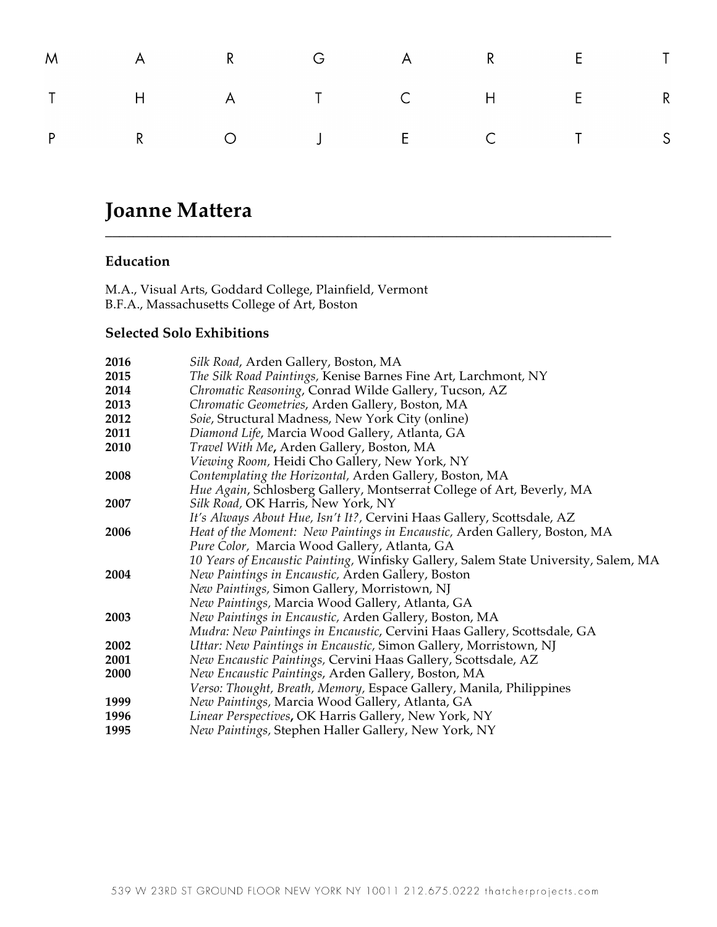|  | M A R G A R E T |  |  |  |
|--|-----------------|--|--|--|
|  | T H A T C H E R |  |  |  |
|  | P R O J E C T S |  |  |  |

**\_\_\_\_\_\_\_\_\_\_\_\_\_\_\_\_\_\_\_\_\_\_\_\_\_\_\_\_\_\_\_\_\_\_\_\_\_\_\_\_\_\_\_\_\_\_\_\_\_\_\_\_\_\_\_\_\_\_\_\_\_\_\_\_\_\_\_\_\_\_\_\_**

# **Joanne Mattera**

### **Education**

M.A., Visual Arts, Goddard College, Plainfield, Vermont B.F.A., Massachusetts College of Art, Boston

### **Selected Solo Exhibitions**

| 2016 | Silk Road, Arden Gallery, Boston, MA                                                |
|------|-------------------------------------------------------------------------------------|
| 2015 | The Silk Road Paintings, Kenise Barnes Fine Art, Larchmont, NY                      |
| 2014 | Chromatic Reasoning, Conrad Wilde Gallery, Tucson, AZ                               |
| 2013 | Chromatic Geometries, Arden Gallery, Boston, MA                                     |
| 2012 | Soie, Structural Madness, New York City (online)                                    |
| 2011 | Diamond Life, Marcia Wood Gallery, Atlanta, GA                                      |
| 2010 | Travel With Me, Arden Gallery, Boston, MA                                           |
|      | Viewing Room, Heidi Cho Gallery, New York, NY                                       |
| 2008 | Contemplating the Horizontal, Arden Gallery, Boston, MA                             |
|      | Hue Again, Schlosberg Gallery, Montserrat College of Art, Beverly, MA               |
| 2007 | Silk Road, OK Harris, New York, NY                                                  |
|      | It's Always About Hue, Isn't It?, Cervini Haas Gallery, Scottsdale, AZ              |
| 2006 | Heat of the Moment: New Paintings in Encaustic, Arden Gallery, Boston, MA           |
|      | Pure Color, Marcia Wood Gallery, Atlanta, GA                                        |
|      | 10 Years of Encaustic Painting, Winfisky Gallery, Salem State University, Salem, MA |
| 2004 | New Paintings in Encaustic, Arden Gallery, Boston                                   |
|      | New Paintings, Simon Gallery, Morristown, NJ                                        |
|      | New Paintings, Marcia Wood Gallery, Atlanta, GA                                     |
| 2003 | New Paintings in Encaustic, Arden Gallery, Boston, MA                               |
|      | Mudra: New Paintings in Encaustic, Cervini Haas Gallery, Scottsdale, GA             |
| 2002 | Uttar: New Paintings in Encaustic, Simon Gallery, Morristown, NJ                    |
| 2001 | New Encaustic Paintings, Cervini Haas Gallery, Scottsdale, AZ                       |
| 2000 | New Encaustic Paintings, Arden Gallery, Boston, MA                                  |
|      | Verso: Thought, Breath, Memory, Espace Gallery, Manila, Philippines                 |
| 1999 | New Paintings, Marcia Wood Gallery, Atlanta, GA                                     |
| 1996 | Linear Perspectives, OK Harris Gallery, New York, NY                                |
| 1995 | New Paintings, Stephen Haller Gallery, New York, NY                                 |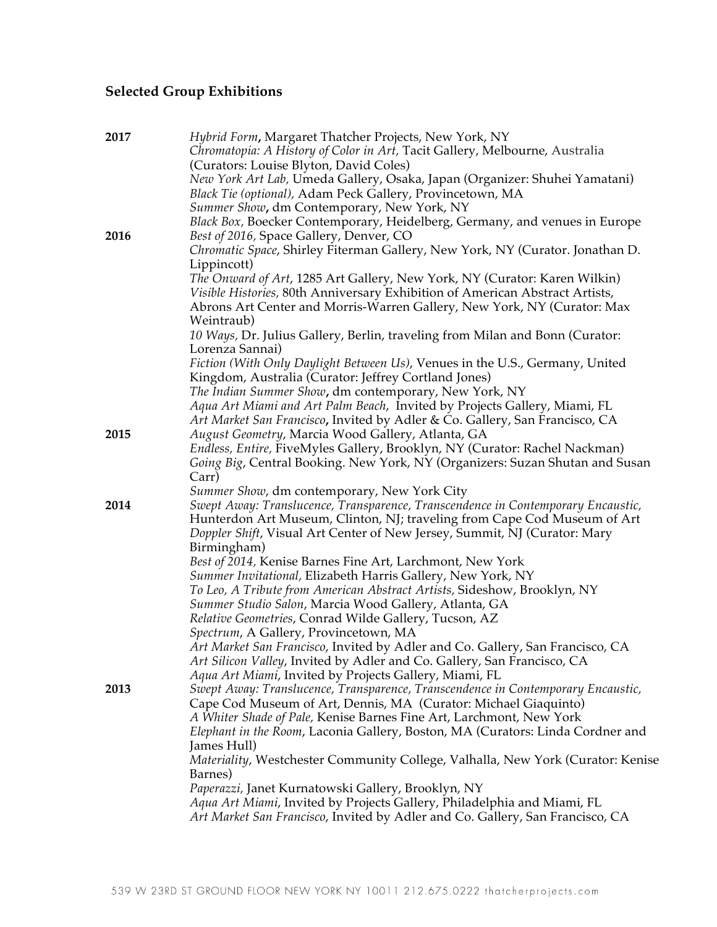## **Selected Group Exhibitions**

| 2017 | Hybrid Form, Margaret Thatcher Projects, New York, NY<br>Chromatopia: A History of Color in Art, Tacit Gallery, Melbourne, Australia<br>(Curators: Louise Blyton, David Coles) |
|------|--------------------------------------------------------------------------------------------------------------------------------------------------------------------------------|
|      | New York Art Lab, Umeda Gallery, Osaka, Japan (Organizer: Shuhei Yamatani)<br>Black Tie (optional), Adam Peck Gallery, Provincetown, MA                                        |
|      | Summer Show, dm Contemporary, New York, NY                                                                                                                                     |
| 2016 | Black Box, Boecker Contemporary, Heidelberg, Germany, and venues in Europe<br>Best of 2016, Space Gallery, Denver, CO                                                          |
|      | Chromatic Space, Shirley Fiterman Gallery, New York, NY (Curator. Jonathan D.                                                                                                  |
|      | Lippincott)<br>The Onward of Art, 1285 Art Gallery, New York, NY (Curator: Karen Wilkin)                                                                                       |
|      | Visible Histories, 80th Anniversary Exhibition of American Abstract Artists,                                                                                                   |
|      | Abrons Art Center and Morris-Warren Gallery, New York, NY (Curator: Max                                                                                                        |
|      | Weintraub)                                                                                                                                                                     |
|      | 10 Ways, Dr. Julius Gallery, Berlin, traveling from Milan and Bonn (Curator:                                                                                                   |
|      | Lorenza Sannai)                                                                                                                                                                |
|      | Fiction (With Only Daylight Between Us), Venues in the U.S., Germany, United<br>Kingdom, Australia (Curator: Jeffrey Cortland Jones)                                           |
|      | The Indian Summer Show, dm contemporary, New York, NY                                                                                                                          |
|      | Aqua Art Miami and Art Palm Beach, Invited by Projects Gallery, Miami, FL                                                                                                      |
|      | Art Market San Francisco, Invited by Adler & Co. Gallery, San Francisco, CA                                                                                                    |
| 2015 | August Geometry, Marcia Wood Gallery, Atlanta, GA                                                                                                                              |
|      | Endless, Entire, FiveMyles Gallery, Brooklyn, NY (Curator: Rachel Nackman)<br>Going Big, Central Booking. New York, NY (Organizers: Suzan Shutan and Susan                     |
|      | Carr)                                                                                                                                                                          |
|      | Summer Show, dm contemporary, New York City                                                                                                                                    |
| 2014 | Swept Away: Translucence, Transparence, Transcendence in Contemporary Encaustic,                                                                                               |
|      | Hunterdon Art Museum, Clinton, NJ; traveling from Cape Cod Museum of Art<br>Doppler Shift, Visual Art Center of New Jersey, Summit, NJ (Curator: Mary                          |
|      | Birmingham)                                                                                                                                                                    |
|      | Best of 2014, Kenise Barnes Fine Art, Larchmont, New York                                                                                                                      |
|      | Summer Invitational, Elizabeth Harris Gallery, New York, NY                                                                                                                    |
|      | To Leo, A Tribute from American Abstract Artists, Sideshow, Brooklyn, NY                                                                                                       |
|      | Summer Studio Salon, Marcia Wood Gallery, Atlanta, GA                                                                                                                          |
|      | Relative Geometries, Conrad Wilde Gallery, Tucson, AZ<br>Spectrum, A Gallery, Provincetown, MA                                                                                 |
|      | Art Market San Francisco, Invited by Adler and Co. Gallery, San Francisco, CA                                                                                                  |
|      | Art Silicon Valley, Invited by Adler and Co. Gallery, San Francisco, CA                                                                                                        |
|      | Aqua Art Miami, Invited by Projects Gallery, Miami, FL                                                                                                                         |
| 2013 | Swept Away: Translucence, Transparence, Transcendence in Contemporary Encaustic,                                                                                               |
|      | Cape Cod Museum of Art, Dennis, MA (Curator: Michael Giaquinto)<br>A Whiter Shade of Pale, Kenise Barnes Fine Art, Larchmont, New York                                         |
|      | Elephant in the Room, Laconia Gallery, Boston, MA (Curators: Linda Cordner and                                                                                                 |
|      | James Hull)                                                                                                                                                                    |
|      | Materiality, Westchester Community College, Valhalla, New York (Curator: Kenise                                                                                                |
|      | Barnes)                                                                                                                                                                        |
|      | Paperazzi, Janet Kurnatowski Gallery, Brooklyn, NY<br>Aqua Art Miami, Invited by Projects Gallery, Philadelphia and Miami, FL                                                  |
|      | Art Market San Francisco, Invited by Adler and Co. Gallery, San Francisco, CA                                                                                                  |
|      |                                                                                                                                                                                |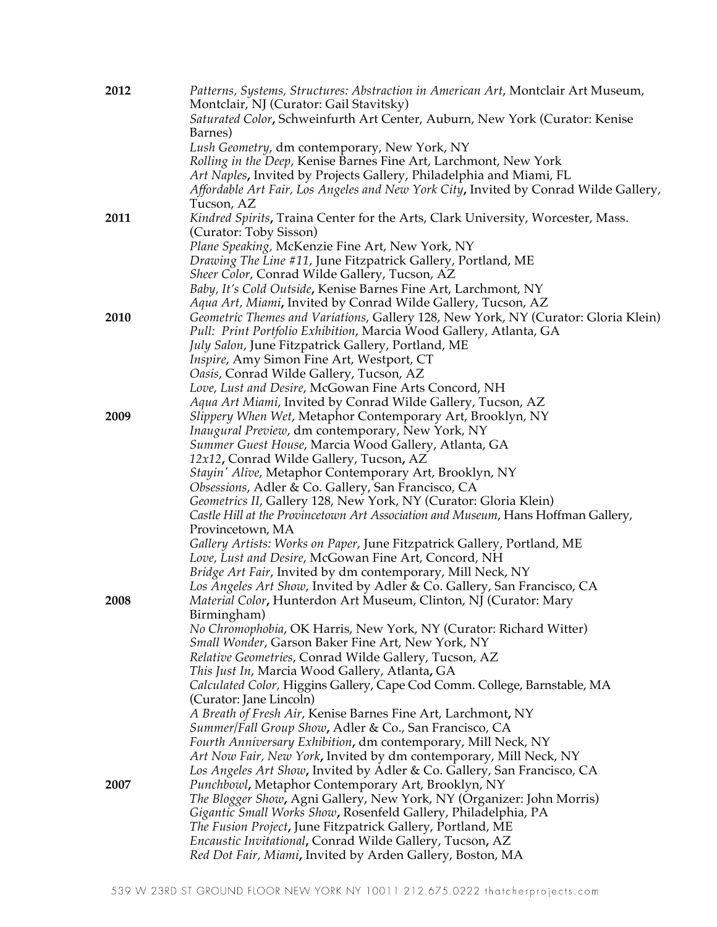| 2012 | Patterns, Systems, Structures: Abstraction in American Art, Montclair Art Museum,<br>Montclair, NJ (Curator: Gail Stavitsky)                             |
|------|----------------------------------------------------------------------------------------------------------------------------------------------------------|
|      | Saturated Color, Schweinfurth Art Center, Auburn, New York (Curator: Kenise                                                                              |
|      | Barnes)<br>Lush Geometry, dm contemporary, New York, NY                                                                                                  |
|      | Rolling in the Deep, Kenise Barnes Fine Art, Larchmont, New York                                                                                         |
|      | Art Naples, Invited by Projects Gallery, Philadelphia and Miami, FL                                                                                      |
|      | Affordable Art Fair, Los Angeles and New York City, Invited by Conrad Wilde Gallery,<br>Tucson, AZ                                                       |
| 2011 | Kindred Spirits, Traina Center for the Arts, Clark University, Worcester, Mass.                                                                          |
|      | (Curator: Toby Sisson)                                                                                                                                   |
|      | Plane Speaking, McKenzie Fine Art, New York, NY                                                                                                          |
|      | Drawing The Line #11, June Fitzpatrick Gallery, Portland, ME<br>Sheer Color, Conrad Wilde Gallery, Tucson, AZ                                            |
|      | Baby, It's Cold Outside, Kenise Barnes Fine Art, Larchmont, NY                                                                                           |
|      | Aqua Art, Miami, Invited by Conrad Wilde Gallery, Tucson, AZ                                                                                             |
| 2010 | Geometric Themes and Variations, Gallery 128, New York, NY (Curator: Gloria Klein)<br>Pull: Print Portfolio Exhibition, Marcia Wood Gallery, Atlanta, GA |
|      | July Salon, June Fitzpatrick Gallery, Portland, ME                                                                                                       |
|      | <i>Inspire, Amy Simon Fine Art, Westport, CT</i>                                                                                                         |
|      | Oasis, Conrad Wilde Gallery, Tucson, AZ                                                                                                                  |
|      | Love, Lust and Desire, McGowan Fine Arts Concord, NH                                                                                                     |
|      | Aqua Art Miami, Invited by Conrad Wilde Gallery, Tucson, AZ                                                                                              |
| 2009 | Slippery When Wet, Metaphor Contemporary Art, Brooklyn, NY                                                                                               |
|      | <i>Inaugural Preview, dm contemporary, New York, NY</i><br>Summer Guest House, Marcia Wood Gallery, Atlanta, GA                                          |
|      | 12x12, Conrad Wilde Gallery, Tucson, AZ                                                                                                                  |
|      | Stayin' Alive, Metaphor Contemporary Art, Brooklyn, NY                                                                                                   |
|      | Obsessions, Adler & Co. Gallery, San Francisco, CA                                                                                                       |
|      | Geometrics II, Gallery 128, New York, NY (Curator: Gloria Klein)                                                                                         |
|      | Castle Hill at the Provincetown Art Association and Museum, Hans Hoffman Gallery,                                                                        |
|      | Provincetown, MA                                                                                                                                         |
|      | Gallery Artists: Works on Paper, June Fitzpatrick Gallery, Portland, ME                                                                                  |
|      | Love, Lust and Desire, McGowan Fine Art, Concord, NH                                                                                                     |
|      | Bridge Art Fair, Invited by dm contemporary, Mill Neck, NY                                                                                               |
| 2008 | Los Angeles Art Show, Invited by Adler & Co. Gallery, San Francisco, CA<br>Material Color, Hunterdon Art Museum, Clinton, NJ (Curator: Mary              |
|      | Birmingham)                                                                                                                                              |
|      | No Chromophobia, OK Harris, New York, NY (Curator: Richard Witter)                                                                                       |
|      | Small Wonder, Garson Baker Fine Art, New York, NY                                                                                                        |
|      | Relative Geometries, Conrad Wilde Gallery, Tucson, AZ                                                                                                    |
|      | This Just In, Marcia Wood Gallery, Atlanta, GA                                                                                                           |
|      | Calculated Color, Higgins Gallery, Cape Cod Comm. College, Barnstable, MA<br>(Curator: Jane Lincoln)                                                     |
|      | A Breath of Fresh Air, Kenise Barnes Fine Art, Larchmont, NY                                                                                             |
|      | Summer/Fall Group Show, Adler & Co., San Francisco, CA                                                                                                   |
|      | Fourth Anniversary Exhibition, dm contemporary, Mill Neck, NY<br>Art Now Fair, New York, Invited by dm contemporary, Mill Neck, NY                       |
|      | Los Angeles Art Show, Invited by Adler & Co. Gallery, San Francisco, CA                                                                                  |
| 2007 | Punchbowl, Metaphor Contemporary Art, Brooklyn, NY                                                                                                       |
|      | The Blogger Show, Agni Gallery, New York, NY (Organizer: John Morris)                                                                                    |
|      | Gigantic Small Works Show, Rosenfeld Gallery, Philadelphia, PA                                                                                           |
|      | The Fusion Project, June Fitzpatrick Gallery, Portland, ME                                                                                               |
|      | Encaustic Invitational, Conrad Wilde Gallery, Tucson, AZ                                                                                                 |
|      | Red Dot Fair, Miami, Invited by Arden Gallery, Boston, MA                                                                                                |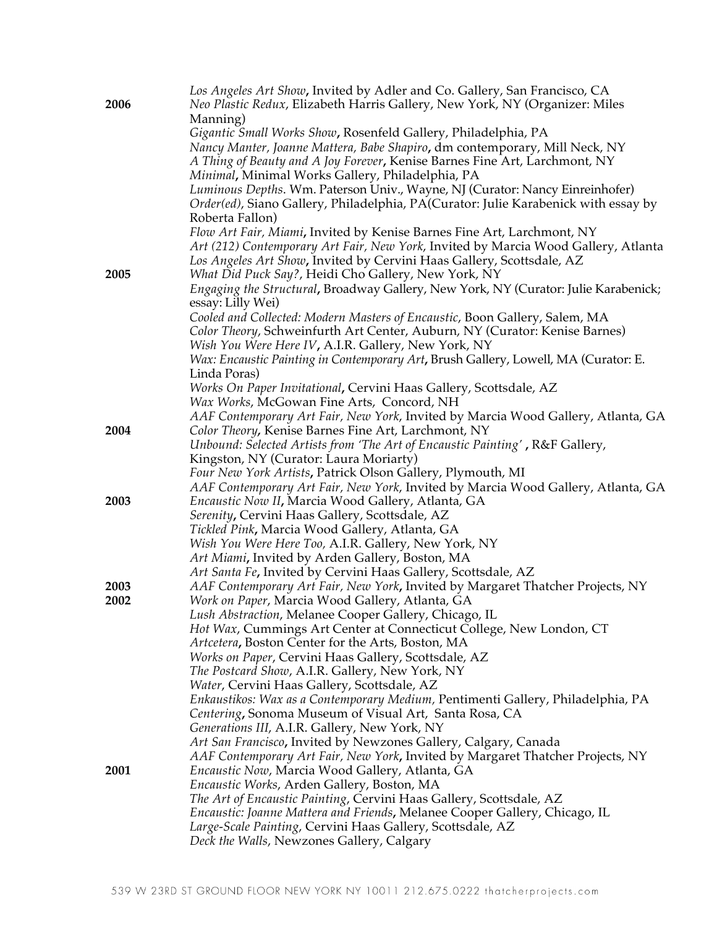| 2006 | Los Angeles Art Show, Invited by Adler and Co. Gallery, San Francisco, CA<br>Neo Plastic Redux, Elizabeth Harris Gallery, New York, NY (Organizer: Miles |
|------|----------------------------------------------------------------------------------------------------------------------------------------------------------|
|      | Manning)                                                                                                                                                 |
|      | Gigantic Small Works Show, Rosenfeld Gallery, Philadelphia, PA                                                                                           |
|      | Nancy Manter, Joanne Mattera, Babe Shapiro, dm contemporary, Mill Neck, NY<br>A Thing of Beauty and A Joy Forever, Kenise Barnes Fine Art, Larchmont, NY |
|      | Minimal, Minimal Works Gallery, Philadelphia, PA                                                                                                         |
|      | Luminous Depths. Wm. Paterson Univ., Wayne, NJ (Curator: Nancy Einreinhofer)                                                                             |
|      | Order(ed), Siano Gallery, Philadelphia, PA(Curator: Julie Karabenick with essay by                                                                       |
|      | Roberta Fallon)                                                                                                                                          |
|      | Flow Art Fair, Miami, Invited by Kenise Barnes Fine Art, Larchmont, NY                                                                                   |
|      | Art (212) Contemporary Art Fair, New York, Invited by Marcia Wood Gallery, Atlanta                                                                       |
|      | Los Angeles Art Show, Invited by Cervini Haas Gallery, Scottsdale, AZ                                                                                    |
| 2005 | What Did Puck Say?, Heidi Cho Gallery, New York, NY                                                                                                      |
|      | Engaging the Structural, Broadway Gallery, New York, NY (Curator: Julie Karabenick;<br>essay: Lilly Wei)                                                 |
|      | Cooled and Collected: Modern Masters of Encaustic, Boon Gallery, Salem, MA                                                                               |
|      | Color Theory, Schweinfurth Art Center, Auburn, NY (Curator: Kenise Barnes)<br>Wish You Were Here IV, A.I.R. Gallery, New York, NY                        |
|      | Wax: Encaustic Painting in Contemporary Art, Brush Gallery, Lowell, MA (Curator: E.                                                                      |
|      | Linda Poras)                                                                                                                                             |
|      | Works On Paper Invitational, Cervini Haas Gallery, Scottsdale, AZ                                                                                        |
|      | Wax Works, McGowan Fine Arts, Concord, NH                                                                                                                |
|      | AAF Contemporary Art Fair, New York, Invited by Marcia Wood Gallery, Atlanta, GA                                                                         |
| 2004 | Color Theory, Kenise Barnes Fine Art, Larchmont, NY                                                                                                      |
|      | Unbound: Selected Artists from 'The Art of Encaustic Painting', R&F Gallery,                                                                             |
|      | Kingston, NY (Curator: Laura Moriarty)                                                                                                                   |
|      | Four New York Artists, Patrick Olson Gallery, Plymouth, MI                                                                                               |
|      | AAF Contemporary Art Fair, New York, Invited by Marcia Wood Gallery, Atlanta, GA                                                                         |
| 2003 | Encaustic Now II, Marcia Wood Gallery, Atlanta, GA                                                                                                       |
|      | Serenity, Cervini Haas Gallery, Scottsdale, AZ                                                                                                           |
|      | Tickled Pink, Marcia Wood Gallery, Atlanta, GA<br>Wish You Were Here Too, A.I.R. Gallery, New York, NY                                                   |
|      | Art Miami, Invited by Arden Gallery, Boston, MA                                                                                                          |
|      | Art Santa Fe, Invited by Cervini Haas Gallery, Scottsdale, AZ                                                                                            |
| 2003 | AAF Contemporary Art Fair, New York, Invited by Margaret Thatcher Projects, NY                                                                           |
| 2002 | Work on Paper, Marcia Wood Gallery, Atlanta, GA                                                                                                          |
|      | Lush Abstraction, Melanee Cooper Gallery, Chicago, IL                                                                                                    |
|      | Hot Wax, Cummings Art Center at Connecticut College, New London, CT                                                                                      |
|      | Artcetera, Boston Center for the Arts, Boston, MA                                                                                                        |
|      | Works on Paper, Cervini Haas Gallery, Scottsdale, AZ                                                                                                     |
|      | The Postcard Show, A.I.R. Gallery, New York, NY                                                                                                          |
|      | Water, Cervini Haas Gallery, Scottsdale, AZ                                                                                                              |
|      | Enkaustikos: Wax as a Contemporary Medium, Pentimenti Gallery, Philadelphia, PA                                                                          |
|      | Centering, Sonoma Museum of Visual Art, Santa Rosa, CA                                                                                                   |
|      | Generations III, A.I.R. Gallery, New York, NY                                                                                                            |
|      | Art San Francisco, Invited by Newzones Gallery, Calgary, Canada                                                                                          |
| 2001 | AAF Contemporary Art Fair, New York, Invited by Margaret Thatcher Projects, NY<br>Encaustic Now, Marcia Wood Gallery, Atlanta, GA                        |
|      | Encaustic Works, Arden Gallery, Boston, MA                                                                                                               |
|      | The Art of Encaustic Painting, Cervini Haas Gallery, Scottsdale, AZ                                                                                      |
|      | Encaustic: Joanne Mattera and Friends, Melanee Cooper Gallery, Chicago, IL                                                                               |
|      | Large-Scale Painting, Cervini Haas Gallery, Scottsdale, AZ                                                                                               |
|      | Deck the Walls, Newzones Gallery, Calgary                                                                                                                |
|      |                                                                                                                                                          |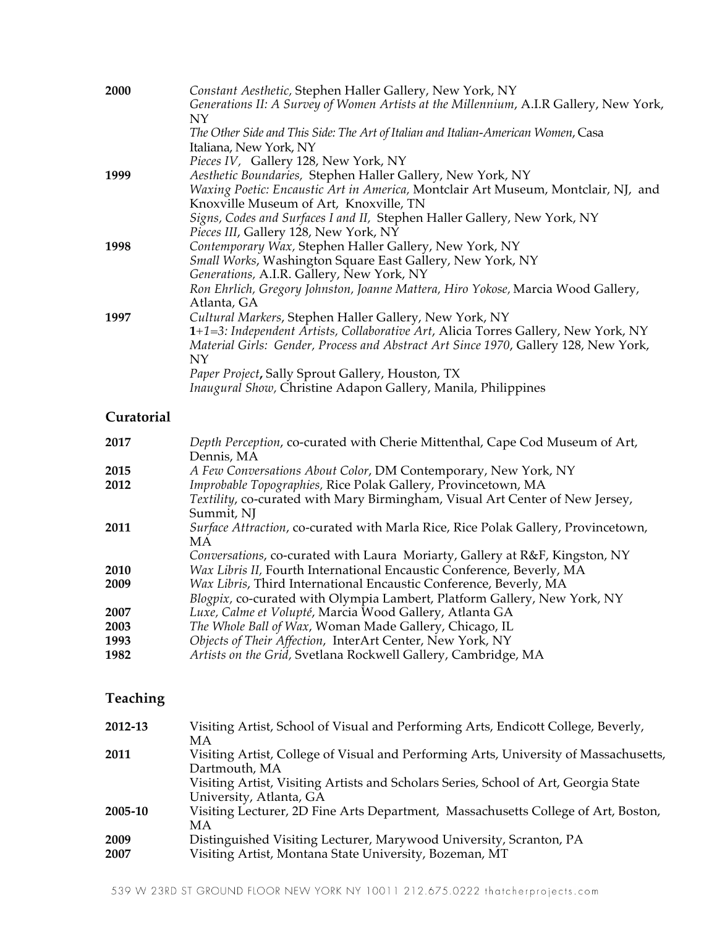| 2000         | Constant Aesthetic, Stephen Haller Gallery, New York, NY<br>Generations II: A Survey of Women Artists at the Millennium, A.I.R Gallery, New York,<br>NY                                                                |
|--------------|------------------------------------------------------------------------------------------------------------------------------------------------------------------------------------------------------------------------|
|              | The Other Side and This Side: The Art of Italian and Italian-American Women, Casa<br>Italiana, New York, NY                                                                                                            |
|              | Pieces IV, Gallery 128, New York, NY                                                                                                                                                                                   |
| 1999         | Aesthetic Boundaries, Stephen Haller Gallery, New York, NY<br>Waxing Poetic: Encaustic Art in America, Montclair Art Museum, Montclair, NJ, and<br>Knoxville Museum of Art, Knoxville, TN                              |
|              | Signs, Codes and Surfaces I and II, Stephen Haller Gallery, New York, NY<br>Pieces III, Gallery 128, New York, NY                                                                                                      |
| 1998         | Contemporary Wax, Stephen Haller Gallery, New York, NY<br>Small Works, Washington Square East Gallery, New York, NY                                                                                                    |
|              | Generations, A.I.R. Gallery, New York, NY<br>Ron Ehrlich, Gregory Johnston, Joanne Mattera, Hiro Yokose, Marcia Wood Gallery,<br>Atlanta, GA                                                                           |
| 1997         | Cultural Markers, Stephen Haller Gallery, New York, NY<br>1+1=3: Independent Artists, Collaborative Art, Alicia Torres Gallery, New York, NY                                                                           |
|              | Material Girls: Gender, Process and Abstract Art Since 1970, Gallery 128, New York,<br>NY                                                                                                                              |
|              | Paper Project, Sally Sprout Gallery, Houston, TX<br>Inaugural Show, Christine Adapon Gallery, Manila, Philippines                                                                                                      |
| Curatorial   |                                                                                                                                                                                                                        |
| 2017         | Depth Perception, co-curated with Cherie Mittenthal, Cape Cod Museum of Art,<br>Dennis, MA                                                                                                                             |
| 2015         | A Few Conversations About Color, DM Contemporary, New York, NY                                                                                                                                                         |
| 2012         | Improbable Topographies, Rice Polak Gallery, Provincetown, MA<br>Textility, co-curated with Mary Birmingham, Visual Art Center of New Jersey,<br>Summit, NJ                                                            |
| 2011         | Surface Attraction, co-curated with Marla Rice, Rice Polak Gallery, Provincetown,<br>MA                                                                                                                                |
|              | Conversations, co-curated with Laura Moriarty, Gallery at R&F, Kingston, NY                                                                                                                                            |
| 2010<br>2009 | Wax Libris II, Fourth International Encaustic Conference, Beverly, MA<br>Wax Libris, Third International Encaustic Conference, Beverly, MA<br>Blogpix, co-curated with Olympia Lambert, Platform Gallery, New York, NY |
| 2007         | Luxe, Calme et Volupté, Marcia Wood Gallery, Atlanta GA                                                                                                                                                                |
| 2003         | The Whole Ball of Wax, Woman Made Gallery, Chicago, IL                                                                                                                                                                 |
| 1993         | Objects of Their Affection, InterArt Center, New York, NY                                                                                                                                                              |
| 1982         | Artists on the Grid, Svetlana Rockwell Gallery, Cambridge, MA                                                                                                                                                          |
| Teaching     |                                                                                                                                                                                                                        |
| 2012-13      | Visiting Artist, School of Visual and Performing Arts, Endicott College, Beverly,<br>МA                                                                                                                                |
| 2011         | Visiting Artist, College of Visual and Performing Arts, University of Massachusetts,<br>Dartmouth, MA                                                                                                                  |
|              | Visiting Artist, Visiting Artists and Scholars Series, School of Art, Georgia State<br>University, Atlanta, GA                                                                                                         |

- **2005-10** Visiting Lecturer, 2D Fine Arts Department, Massachusetts College of Art, Boston, MA
- **2009** Distinguished Visiting Lecturer, Marywood University, Scranton, PA **2007** Visiting Artist, Montana State University, Bozeman, MT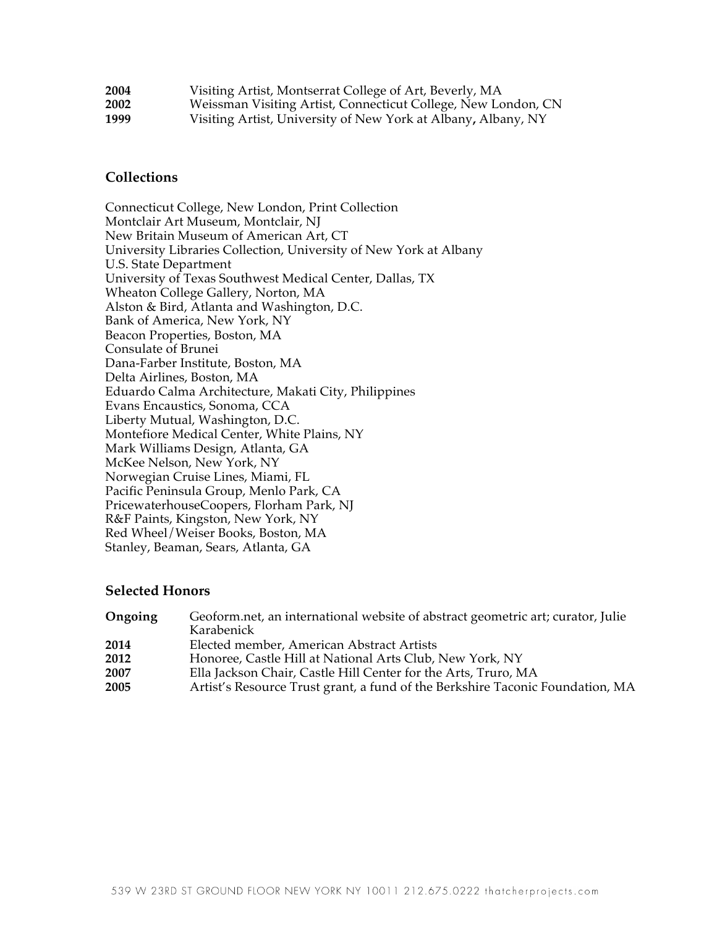| 2004 | Visiting Artist, Montserrat College of Art, Beverly, MA       |
|------|---------------------------------------------------------------|
| 2002 | Weissman Visiting Artist, Connecticut College, New London, CN |
| 1999 | Visiting Artist, University of New York at Albany, Albany, NY |

### **Collections**

Connecticut College, New London, Print Collection Montclair Art Museum, Montclair, NJ New Britain Museum of American Art, CT University Libraries Collection, University of New York at Albany U.S. State Department University of Texas Southwest Medical Center, Dallas, TX Wheaton College Gallery, Norton, MA Alston & Bird, Atlanta and Washington, D.C. Bank of America, New York, NY Beacon Properties, Boston, MA Consulate of Brunei Dana-Farber Institute, Boston, MA Delta Airlines, Boston, MA Eduardo Calma Architecture, Makati City, Philippines Evans Encaustics, Sonoma, CCA Liberty Mutual, Washington, D.C. Montefiore Medical Center, White Plains, NY Mark Williams Design, Atlanta, GA McKee Nelson, New York, NY Norwegian Cruise Lines, Miami, FL Pacific Peninsula Group, Menlo Park, CA PricewaterhouseCoopers, Florham Park, NJ R&F Paints, Kingston, New York, NY Red Wheel/Weiser Books, Boston, MA Stanley, Beaman, Sears, Atlanta, GA

### **Selected Honors**

| Ongoing | Geoform.net, an international website of abstract geometric art; curator, Julie |
|---------|---------------------------------------------------------------------------------|
|         | Karabenick                                                                      |
| 2014    | Elected member, American Abstract Artists                                       |
| 2012    | Honoree, Castle Hill at National Arts Club, New York, NY                        |
| 2007    | Ella Jackson Chair, Castle Hill Center for the Arts, Truro, MA                  |
| 2005    | Artist's Resource Trust grant, a fund of the Berkshire Taconic Foundation, MA   |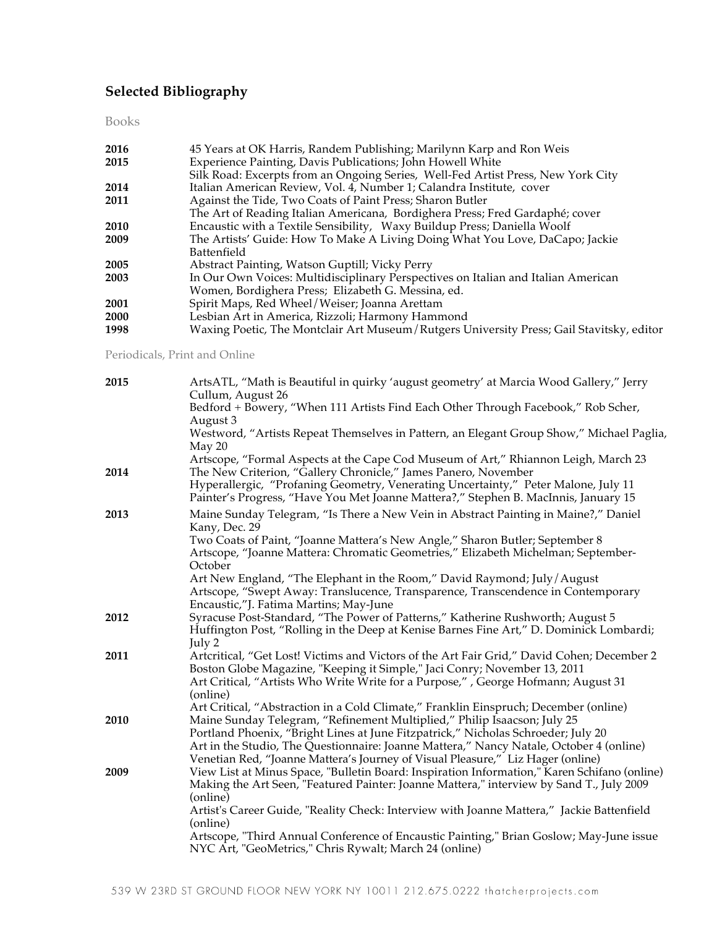### **Selected Bibliography**

Books

| 2016 | 45 Years at OK Harris, Randem Publishing; Marilynn Karp and Ron Weis                     |
|------|------------------------------------------------------------------------------------------|
| 2015 | Experience Painting, Davis Publications; John Howell White                               |
|      | Silk Road: Excerpts from an Ongoing Series, Well-Fed Artist Press, New York City         |
| 2014 | Italian American Review, Vol. 4, Number 1; Calandra Institute, cover                     |
| 2011 | Against the Tide, Two Coats of Paint Press; Sharon Butler                                |
|      | The Art of Reading Italian Americana, Bordighera Press; Fred Gardaphé; cover             |
| 2010 | Encaustic with a Textile Sensibility, Waxy Buildup Press; Daniella Woolf                 |
| 2009 | The Artists' Guide: How To Make A Living Doing What You Love, DaCapo; Jackie             |
|      | Battenfield                                                                              |
| 2005 | Abstract Painting, Watson Guptill; Vicky Perry                                           |
| 2003 | In Our Own Voices: Multidisciplinary Perspectives on Italian and Italian American        |
|      | Women, Bordighera Press; Elizabeth G. Messina, ed.                                       |
| 2001 | Spirit Maps, Red Wheel/Weiser; Joanna Arettam                                            |
| 2000 | Lesbian Art in America, Rizzoli; Harmony Hammond                                         |
| 1998 | Waxing Poetic, The Montclair Art Museum/Rutgers University Press; Gail Stavitsky, editor |
|      |                                                                                          |

Periodicals, Print and Online

| 2015 | ArtsATL, "Math is Beautiful in quirky 'august geometry' at Marcia Wood Gallery," Jerry<br>Cullum, August 26                                                                                                                                                                                                                                 |
|------|---------------------------------------------------------------------------------------------------------------------------------------------------------------------------------------------------------------------------------------------------------------------------------------------------------------------------------------------|
|      | Bedford + Bowery, "When 111 Artists Find Each Other Through Facebook," Rob Scher,<br>August 3                                                                                                                                                                                                                                               |
|      | Westword, "Artists Repeat Themselves in Pattern, an Elegant Group Show," Michael Paglia,<br>May 20                                                                                                                                                                                                                                          |
| 2014 | Artscope, "Formal Aspects at the Cape Cod Museum of Art," Rhiannon Leigh, March 23<br>The New Criterion, "Gallery Chronicle," James Panero, November                                                                                                                                                                                        |
|      | Hyperallergic, "Profaning Geometry, Venerating Uncertainty," Peter Malone, July 11<br>Painter's Progress, "Have You Met Joanne Mattera?," Stephen B. MacInnis, January 15                                                                                                                                                                   |
| 2013 | Maine Sunday Telegram, "Is There a New Vein in Abstract Painting in Maine?," Daniel<br>Kany, Dec. 29                                                                                                                                                                                                                                        |
|      | Two Coats of Paint, "Joanne Mattera's New Angle," Sharon Butler; September 8<br>Artscope, "Joanne Mattera: Chromatic Geometries," Elizabeth Michelman; September-<br>October                                                                                                                                                                |
|      | Art New England, "The Elephant in the Room," David Raymond; July/August<br>Artscope, "Swept Away: Translucence, Transparence, Transcendence in Contemporary<br>Encaustic,"J. Fatima Martins; May-June                                                                                                                                       |
| 2012 | Syracuse Post-Standard, "The Power of Patterns," Katherine Rushworth; August 5<br>Huffington Post, "Rolling in the Deep at Kenise Barnes Fine Art," D. Dominick Lombardi;<br>July 2                                                                                                                                                         |
| 2011 | Artcritical, "Get Lost! Victims and Victors of the Art Fair Grid," David Cohen; December 2<br>Boston Globe Magazine, "Keeping it Simple," Jaci Conry; November 13, 2011<br>Art Critical, "Artists Who Write Write for a Purpose,", George Hofmann; August 31<br>(online)                                                                    |
|      | Art Critical, "Abstraction in a Cold Climate," Franklin Einspruch; December (online)                                                                                                                                                                                                                                                        |
| 2010 | Maine Sunday Telegram, "Refinement Multiplied," Philip Isaacson; July 25<br>Portland Phoenix, "Bright Lines at June Fitzpatrick," Nicholas Schroeder; July 20<br>Art in the Studio, The Questionnaire: Joanne Mattera," Nancy Natale, October 4 (online)<br>Venetian Red, "Joanne Mattera's Journey of Visual Pleasure," Liz Hager (online) |
| 2009 | View List at Minus Space, "Bulletin Board: Inspiration Information," Karen Schifano (online)<br>Making the Art Seen, "Featured Painter: Joanne Mattera," interview by Sand T., July 2009<br>(online)                                                                                                                                        |
|      | Artist's Career Guide, "Reality Check: Interview with Joanne Mattera," Jackie Battenfield<br>(online)                                                                                                                                                                                                                                       |
|      | Artscope, "Third Annual Conference of Encaustic Painting," Brian Goslow; May-June issue<br>NYC Art, "GeoMetrics," Chris Rywalt; March 24 (online)                                                                                                                                                                                           |